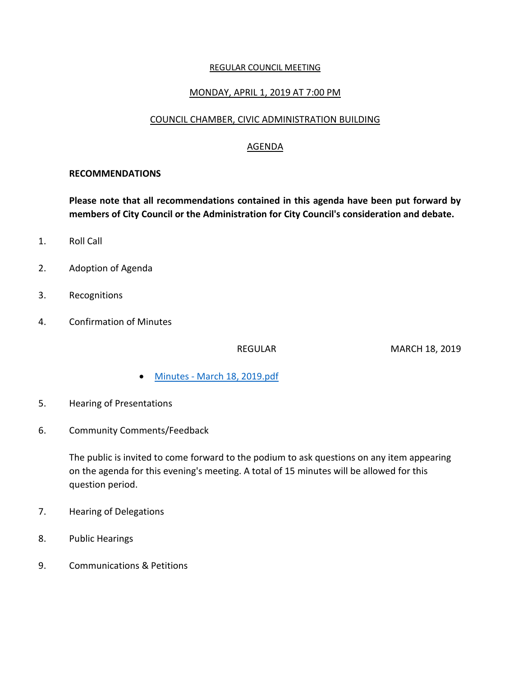#### REGULAR COUNCIL MEETING

#### MONDAY, APRIL 1, 2019 AT 7:00 PM

### COUNCIL CHAMBER, CIVIC ADMINISTRATION BUILDING

### AGENDA

#### **RECOMMENDATIONS**

**Please note that all recommendations contained in this agenda have been put forward by members of City Council or the Administration for City Council's consideration and debate.**

- 1. Roll Call
- 2. Adoption of Agenda
- 3. Recognitions
- 4. Confirmation of Minutes

REGULAR MARCH 18, 2019

- Minutes [March 18, 2019.pdf](https://paperlesscouncil.brandon.ca/attachments/A_2019/COM_YBOGAQZLMECEYGGSYVPZFBFKXJZOZWGWNQKFCUOXLXKCCRABCOT_Minutes%20-%20March%2018,%202019.pdf)
- 5. Hearing of Presentations
- 6. Community Comments/Feedback

The public is invited to come forward to the podium to ask questions on any item appearing on the agenda for this evening's meeting. A total of 15 minutes will be allowed for this question period.

- 7. Hearing of Delegations
- 8. Public Hearings
- 9. Communications & Petitions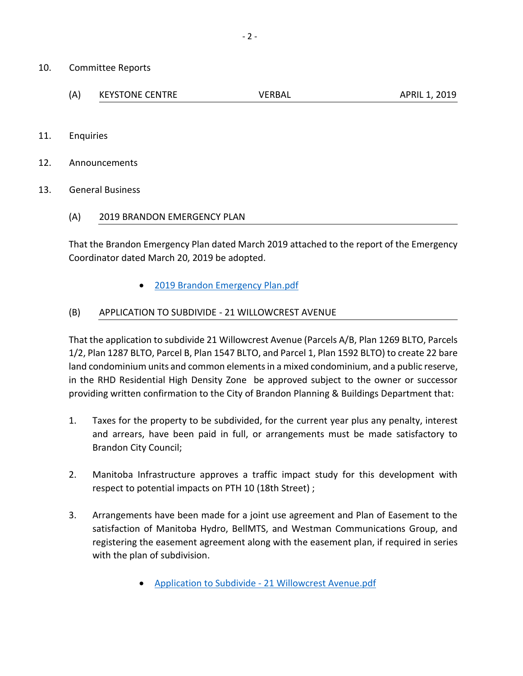- 10. Committee Reports
	- (A) KEYSTONE CENTRE VERBAL APRIL 1, 2019
- 11. Enquiries
- 12. Announcements
- 13. General Business
	- (A) 2019 BRANDON EMERGENCY PLAN

That the Brandon Emergency Plan dated March 2019 attached to the report of the Emergency Coordinator dated March 20, 2019 be adopted.

[2019 Brandon Emergency Plan.pdf](https://paperlesscouncil.brandon.ca/attachments/A_2019/GEN_QQCTIPVAKHLZKTTKCPCIWYVGGPWYDXBRVNHYZKKCVSCWTNTLPUC_2019%20Brandon%20Emergency%20Plan.pdf)

### (B) APPLICATION TO SUBDIVIDE - 21 WILLOWCREST AVENUE

That the application to subdivide 21 Willowcrest Avenue (Parcels A/B, Plan 1269 BLTO, Parcels 1/2, Plan 1287 BLTO, Parcel B, Plan 1547 BLTO, and Parcel 1, Plan 1592 BLTO) to create 22 bare land condominium units and common elements in a mixed condominium, and a public reserve, in the RHD Residential High Density Zone be approved subject to the owner or successor providing written confirmation to the City of Brandon Planning & Buildings Department that:

- 1. Taxes for the property to be subdivided, for the current year plus any penalty, interest and arrears, have been paid in full, or arrangements must be made satisfactory to Brandon City Council;
- 2. Manitoba Infrastructure approves a traffic impact study for this development with respect to potential impacts on PTH 10 (18th Street) ;
- 3. Arrangements have been made for a joint use agreement and Plan of Easement to the satisfaction of Manitoba Hydro, BellMTS, and Westman Communications Group, and registering the easement agreement along with the easement plan, if required in series with the plan of subdivision.
	- Application to Subdivide [21 Willowcrest Avenue.pdf](https://paperlesscouncil.brandon.ca/attachments/A_2019/GEN_MSRDLTUODQGEJBCIMEIQYYPLKQPEDYGDGIGWCQDKBJFVJLIQUSO_Application%20to%20Subdivide%20-%2021%20Willowcrest%20Avenue.pdf)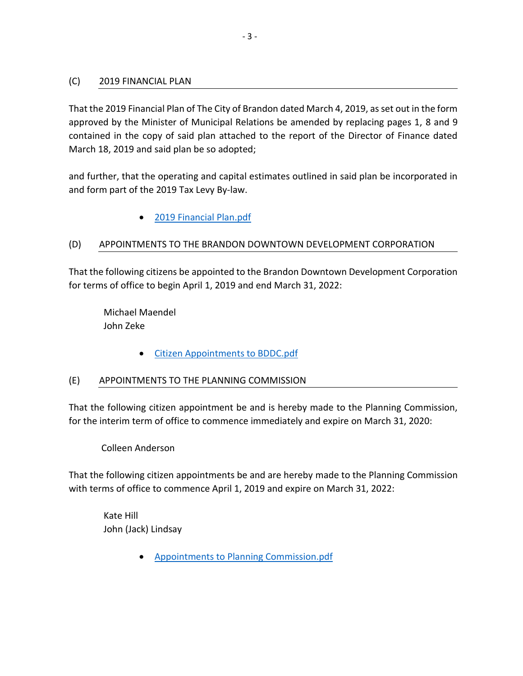### (C) 2019 FINANCIAL PLAN

That the 2019 Financial Plan of The City of Brandon dated March 4, 2019, as set out in the form approved by the Minister of Municipal Relations be amended by replacing pages 1, 8 and 9 contained in the copy of said plan attached to the report of the Director of Finance dated March 18, 2019 and said plan be so adopted;

and further, that the operating and capital estimates outlined in said plan be incorporated in and form part of the 2019 Tax Levy By-law.

# [2019 Financial Plan.pdf](https://paperlesscouncil.brandon.ca/attachments/A_2019/GEN_ZQVXAZKMBUPXDCEKQZHZNQWSANEDDCHPQNZDVRNTEECITMIAFLB_2019%20Financial%20Plan.pdf)

# (D) APPOINTMENTS TO THE BRANDON DOWNTOWN DEVELOPMENT CORPORATION

That the following citizens be appointed to the Brandon Downtown Development Corporation for terms of office to begin April 1, 2019 and end March 31, 2022:

 Michael Maendel John Zeke

[Citizen Appointments to BDDC.pdf](https://paperlesscouncil.brandon.ca/attachments/A_2019/GEN_KCPCZDUESQDSLCHEEIXIWSVQMKUBPJXXWNMJEJPBQEVZNFZHHIM_Citizen%20Appointments%20to%20BDDC.pdf)

# (E) APPOINTMENTS TO THE PLANNING COMMISSION

That the following citizen appointment be and is hereby made to the Planning Commission, for the interim term of office to commence immediately and expire on March 31, 2020:

Colleen Anderson

That the following citizen appointments be and are hereby made to the Planning Commission with terms of office to commence April 1, 2019 and expire on March 31, 2022:

 Kate Hill John (Jack) Lindsay

[Appointments to Planning Commission.pdf](https://paperlesscouncil.brandon.ca/attachments/A_2019/GEN_SADGDUTEBBYFTJZTAPOQZCLCEGAJVAKRLANWOWVCJPZJRQHZABV_Appointments%20to%20Planning%20Commission.pdf)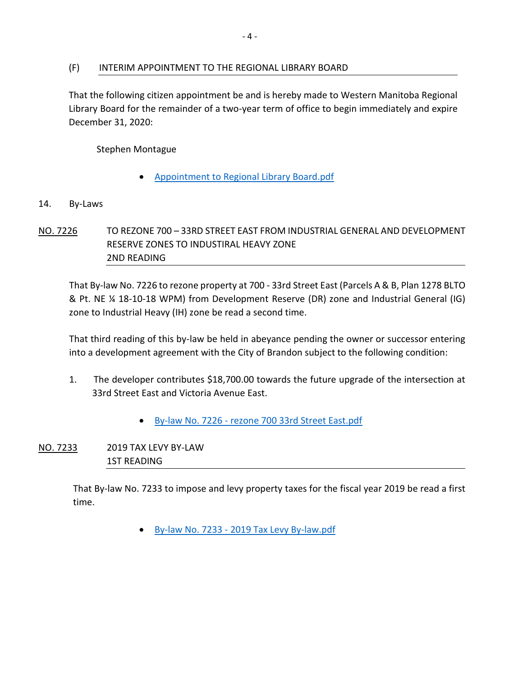#### (F) INTERIM APPOINTMENT TO THE REGIONAL LIBRARY BOARD

That the following citizen appointment be and is hereby made to Western Manitoba Regional Library Board for the remainder of a two-year term of office to begin immediately and expire December 31, 2020:

Stephen Montague

- [Appointment to Regional Library Board.pdf](https://paperlesscouncil.brandon.ca/attachments/A_2019/GEN_VSCNCAYHPYTZOMKPKIXKMZNKAEXJDXFHZATITYPEVPAPDDSMAXZ_Appointment%20to%20Regional%20Library%20Board.pdf)
- 14. By-Laws
- NO. 7226 TO REZONE 700 33RD STREET EAST FROM INDUSTRIAL GENERAL AND DEVELOPMENT RESERVE ZONES TO INDUSTIRAL HEAVY ZONE 2ND READING

That By-law No. 7226 to rezone property at 700 - 33rd Street East (Parcels A & B, Plan 1278 BLTO & Pt. NE ¼ 18-10-18 WPM) from Development Reserve (DR) zone and Industrial General (IG) zone to Industrial Heavy (IH) zone be read a second time.

That third reading of this by-law be held in abeyance pending the owner or successor entering into a development agreement with the City of Brandon subject to the following condition:

- 1. The developer contributes \$18,700.00 towards the future upgrade of the intersection at 33rd Street East and Victoria Avenue East.
	- By-law No. 7226 [rezone 700 33rd Street East.pdf](https://paperlesscouncil.brandon.ca/attachments/A_2019/BYL_TWLRXJCRBARQYVWDMXBRLTYCIXROGFSEPXVIQRSDQANETAUYZLZ_By-law%20No.%207226%20-%20rezone%20700%2033rd%20Street%20East.pdf)
- NO. 7233 2019 TAX LEVY BY-LAW 1ST READING

That By-law No. 7233 to impose and levy property taxes for the fiscal year 2019 be read a first time.

By-law No. 7233 - [2019 Tax Levy By-law.pdf](https://paperlesscouncil.brandon.ca/attachments/A_2019/BYL_ZKGVGBHDXLOPUAZVNWUTTAOABAXHZZRNHCYDKYBYVXLYCNNFYGY_By-law%20No.%207233%20-%202019%20Tax%20Levy%20By-law.pdf)